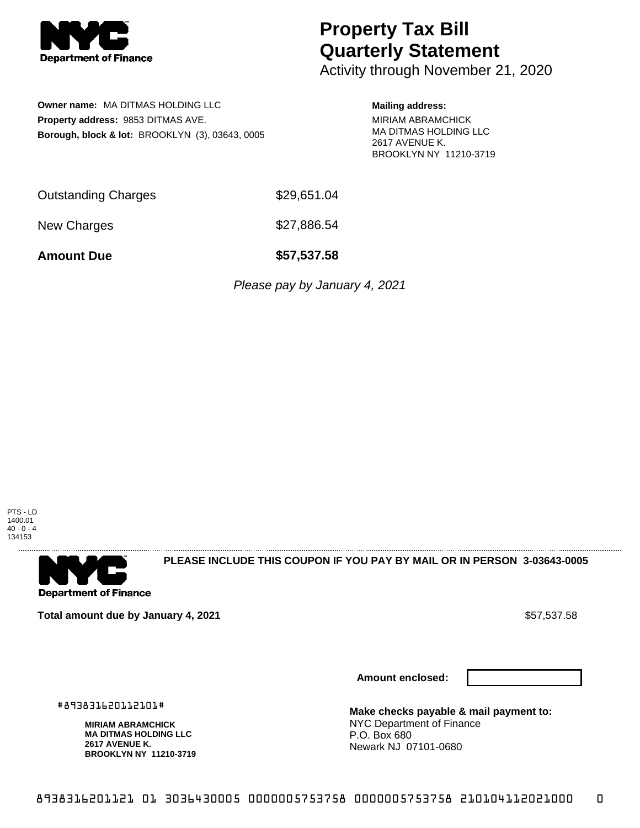

## **Property Tax Bill Quarterly Statement**

Activity through November 21, 2020

**Owner name:** MA DITMAS HOLDING LLC **Property address:** 9853 DITMAS AVE. **Borough, block & lot:** BROOKLYN (3), 03643, 0005 **Mailing address:** MIRIAM ABRAMCHICK MA DITMAS HOLDING LLC 2617 AVENUE K. BROOKLYN NY 11210-3719

| <b>Outstanding Charges</b> | \$29,651.04 |
|----------------------------|-------------|
|                            |             |

New Charges \$27,886.54

**Amount Due \$57,537.58**

Please pay by January 4, 2021



. . . . . . . . . . . . . . . . . . **Department of Finance** 

**PLEASE INCLUDE THIS COUPON IF YOU PAY BY MAIL OR IN PERSON 3-03643-0005** 

**Total amount due by January 4, 2021** \$57,537.58

**Amount enclosed:**



**Make checks payable & mail payment to:** NYC Department of Finance P.O. Box 680 Newark NJ 07101-0680

#893831620112101#

**MIRIAM ABRAMCHICK MA DITMAS HOLDING LLC 2617 AVENUE K. BROOKLYN NY 11210-3719**